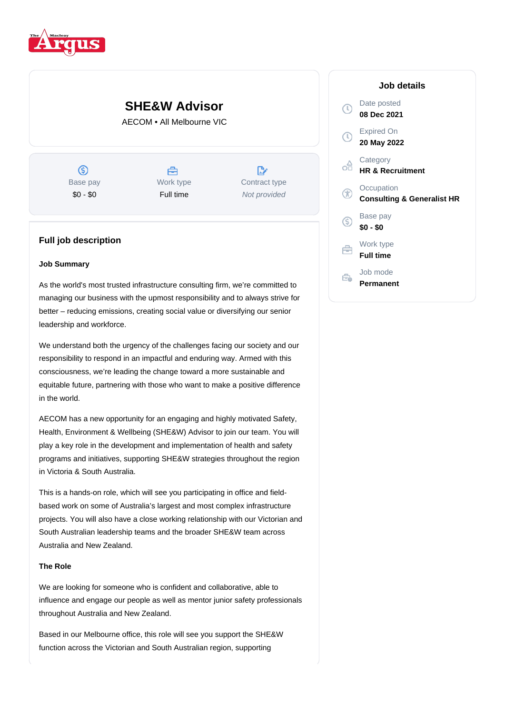

# **SHE&W Advisor**

AECOM • All Melbourne VIC

 $\circledS$ Base pay \$0 - \$0

合 Work type Full time

 $\mathbb{R}^*$ Contract type Not provided

# **Full job description**

# **Job Summary**

As the world's most trusted infrastructure consulting firm, we're committed to managing our business with the upmost responsibility and to always strive for better – reducing emissions, creating social value or diversifying our senior leadership and workforce.

We understand both the urgency of the challenges facing our society and our responsibility to respond in an impactful and enduring way. Armed with this consciousness, we're leading the change toward a more sustainable and equitable future, partnering with those who want to make a positive difference in the world.

AECOM has a new opportunity for an engaging and highly motivated Safety, Health, Environment & Wellbeing (SHE&W) Advisor to join our team. You will play a key role in the development and implementation of health and safety programs and initiatives, supporting SHE&W strategies throughout the region in Victoria & South Australia.

This is a hands-on role, which will see you participating in office and fieldbased work on some of Australia's largest and most complex infrastructure projects. You will also have a close working relationship with our Victorian and South Australian leadership teams and the broader SHE&W team across Australia and New Zealand.

## **The Role**

We are looking for someone who is confident and collaborative, able to influence and engage our people as well as mentor junior safety professionals throughout Australia and New Zealand.

Based in our Melbourne office, this role will see you support the SHE&W function across the Victorian and South Australian region, supporting

# **Job details** Date posted  $\mathbb{C}$ **08 Dec 2021** Expired On **20 May 2022 Category** oâ **HR & Recruitment Occupation** G **Consulting & Generalist HR** Base pay <sub>(S)</sub> **\$0 - \$0** Work type ⇔ **Full time** Job mode e. **Permanent**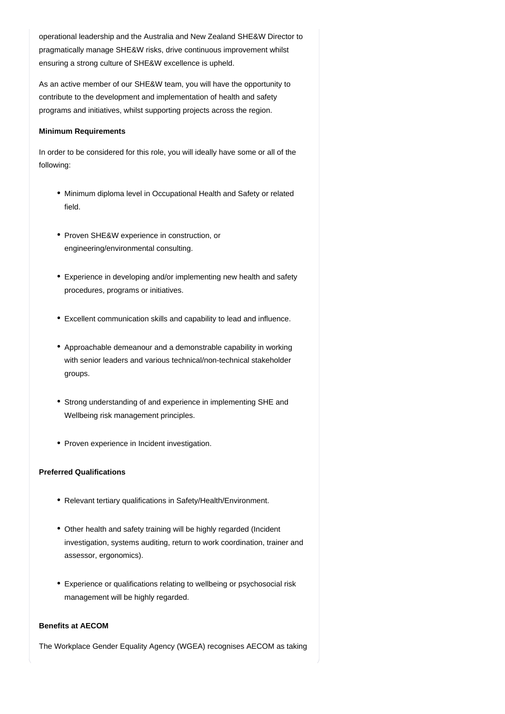operational leadership and the Australia and New Zealand SHE&W Director to pragmatically manage SHE&W risks, drive continuous improvement whilst ensuring a strong culture of SHE&W excellence is upheld.

As an active member of our SHE&W team, you will have the opportunity to contribute to the development and implementation of health and safety programs and initiatives, whilst supporting projects across the region.

#### **Minimum Requirements**

In order to be considered for this role, you will ideally have some or all of the following:

- Minimum diploma level in Occupational Health and Safety or related field.
- Proven SHE&W experience in construction, or engineering/environmental consulting.
- Experience in developing and/or implementing new health and safety procedures, programs or initiatives.
- Excellent communication skills and capability to lead and influence.
- Approachable demeanour and a demonstrable capability in working with senior leaders and various technical/non-technical stakeholder groups.
- Strong understanding of and experience in implementing SHE and Wellbeing risk management principles.
- Proven experience in Incident investigation.

# **Preferred Qualifications**

- Relevant tertiary qualifications in Safety/Health/Environment.
- Other health and safety training will be highly regarded (Incident investigation, systems auditing, return to work coordination, trainer and assessor, ergonomics).
- Experience or qualifications relating to wellbeing or psychosocial risk management will be highly regarded.

## **Benefits at AECOM**

The Workplace Gender Equality Agency (WGEA) recognises AECOM as taking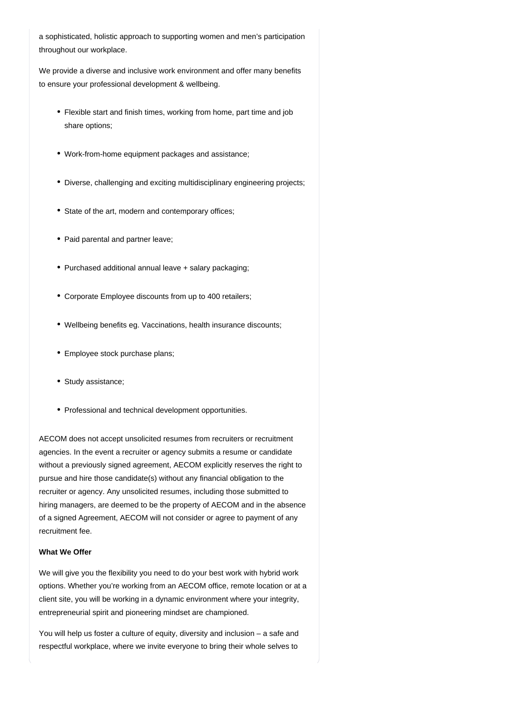a sophisticated, holistic approach to supporting women and men's participation throughout our workplace.

We provide a diverse and inclusive work environment and offer many benefits to ensure your professional development & wellbeing.

- Flexible start and finish times, working from home, part time and job share options;
- Work-from-home equipment packages and assistance;
- Diverse, challenging and exciting multidisciplinary engineering projects;
- State of the art, modern and contemporary offices;
- Paid parental and partner leave;
- Purchased additional annual leave + salary packaging;
- Corporate Employee discounts from up to 400 retailers;
- Wellbeing benefits eg. Vaccinations, health insurance discounts;
- Employee stock purchase plans;
- Study assistance;
- Professional and technical development opportunities.

AECOM does not accept unsolicited resumes from recruiters or recruitment agencies. In the event a recruiter or agency submits a resume or candidate without a previously signed agreement, AECOM explicitly reserves the right to pursue and hire those candidate(s) without any financial obligation to the recruiter or agency. Any unsolicited resumes, including those submitted to hiring managers, are deemed to be the property of AECOM and in the absence of a signed Agreement, AECOM will not consider or agree to payment of any recruitment fee.

## **What We Offer**

We will give you the flexibility you need to do your best work with hybrid work options. Whether you're working from an AECOM office, remote location or at a client site, you will be working in a dynamic environment where your integrity, entrepreneurial spirit and pioneering mindset are championed.

You will help us foster a culture of equity, diversity and inclusion – a safe and respectful workplace, where we invite everyone to bring their whole selves to